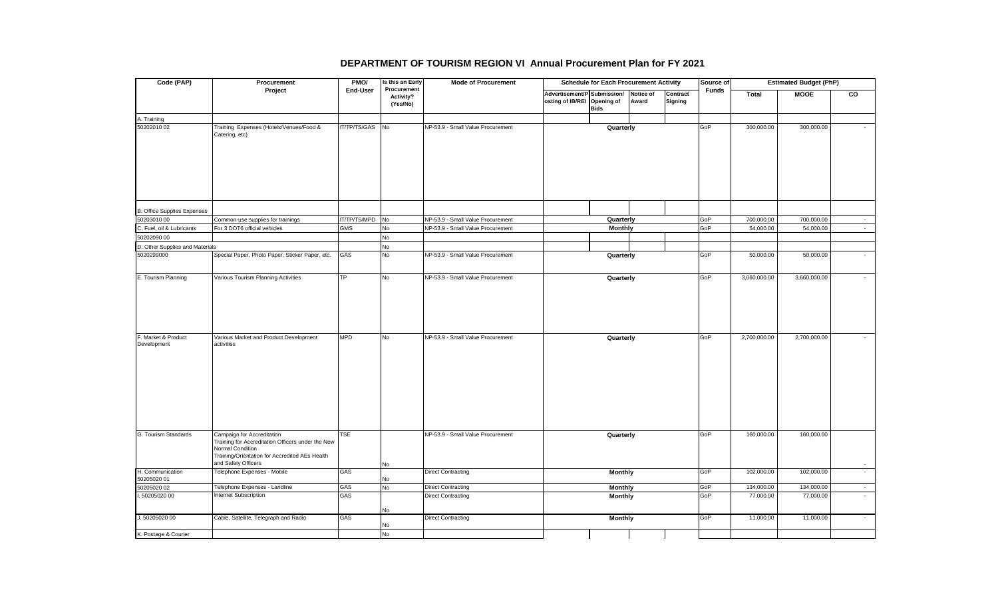| Code (PAP)                         | Procurement                                                                                                                                                                  | PMO/<br>End-User    | Is this an Early<br>Procurement<br><b>Activity?</b><br>(Yes/No) | <b>Mode of Procurement</b>        | <b>Schedule for Each Procurement Activity</b>                             |                    |                     | Source of<br><b>Funds</b> | <b>Estimated Budget (PhP)</b> |              |        |
|------------------------------------|------------------------------------------------------------------------------------------------------------------------------------------------------------------------------|---------------------|-----------------------------------------------------------------|-----------------------------------|---------------------------------------------------------------------------|--------------------|---------------------|---------------------------|-------------------------------|--------------|--------|
|                                    | Project                                                                                                                                                                      |                     |                                                                 |                                   | Advertisement/P Submission/<br>osting of IB/REI Opening of<br><b>Bids</b> | Notice of<br>Award | Contract<br>Signing |                           | <b>Total</b>                  | <b>MOOE</b>  | CO     |
| A. Training                        |                                                                                                                                                                              |                     |                                                                 |                                   |                                                                           |                    |                     |                           |                               |              |        |
| 50202010 02                        | Training Expenses (Hotels/Venues/Food &<br>Catering, etc)                                                                                                                    | <b>IT/TP/TS/GAS</b> | No                                                              | NP-53.9 - Small Value Procurement | Quarterly                                                                 |                    |                     | GoP                       | 300,000.00                    | 300,000.00   |        |
| <b>B. Office Supplies Expenses</b> |                                                                                                                                                                              |                     |                                                                 |                                   |                                                                           |                    |                     |                           |                               |              |        |
| 50203010 00                        | Common-use supplies for trainings                                                                                                                                            | IT/TP/TS/MPD        | No                                                              | NP-53.9 - Small Value Procurement | Quarterly                                                                 |                    |                     | GoP                       | 700,000.00                    | 700,000.00   | $\sim$ |
| C. Fuel, oil & Lubricants          | For 3 DOT6 official vehicles                                                                                                                                                 | GMS                 | No                                                              | NP-53.9 - Small Value Procurement | <b>Monthly</b>                                                            |                    |                     | GoP                       | 54,000.00                     | 54,000.00    | $\sim$ |
| 50202090 00                        |                                                                                                                                                                              |                     | No                                                              |                                   |                                                                           |                    |                     |                           |                               |              |        |
| D. Other Supplies and Materials    |                                                                                                                                                                              |                     | No                                                              |                                   |                                                                           |                    |                     |                           |                               |              |        |
| 5020299000                         | Special Paper, Photo Paper, Sticker Paper, etc.                                                                                                                              | GAS                 | <b>No</b>                                                       | NP-53.9 - Small Value Procurement | Quarterly                                                                 |                    |                     | GoP                       | 50,000.00                     | 50,000.00    | $\sim$ |
| E. Tourism Planning                | Various Tourism Planning Activities                                                                                                                                          | TP                  | No                                                              | NP-53.9 - Small Value Procurement | Quarterly                                                                 | GoP                | 3,660,000.00        | 3,660,000.00              |                               |              |        |
| F. Market & Product<br>Development | Various Market and Product Development<br>activities                                                                                                                         | <b>MPD</b>          | No                                                              | NP-53.9 - Small Value Procurement | Quarterly                                                                 |                    |                     | GoP                       | 2,700,000.00                  | 2,700,000.00 |        |
| G. Tourism Standards               | Campaign for Accreditation<br>Training for Accreditation Officers under the New<br>Normal Condition<br>Training/Orientation for Accredited AEs Health<br>and Safety Officers | <b>TSE</b>          |                                                                 | NP-53.9 - Small Value Procurement | Quarterly                                                                 |                    |                     | GoP                       | 160,000.00                    | 160,000.00   |        |
| H. Communication<br>50205020 01    | Telephone Expenses - Mobile                                                                                                                                                  | GAS                 | No<br>No                                                        | <b>Direct Contracting</b>         | <b>Monthly</b>                                                            |                    |                     | GoP                       | 102,000.00                    | 102,000.00   |        |
| 50205020 02                        | Telephone Expenses - Landline                                                                                                                                                | GAS                 | No                                                              | <b>Direct Contracting</b>         | Monthly                                                                   |                    |                     | GoP                       | 134,000.00                    | 134,000.00   | $\sim$ |
| I. 50205020 00                     | <b>Internet Subscription</b>                                                                                                                                                 | GAS                 |                                                                 | <b>Direct Contracting</b>         | <b>Monthly</b>                                                            |                    |                     | GoP                       | 77,000.00                     | 77,000.00    |        |
| J. 50205020 00                     | Cable, Satellite, Telegraph and Radio                                                                                                                                        | GAS                 | No<br>No                                                        | <b>Direct Contracting</b>         | <b>Monthly</b>                                                            |                    |                     | GoP                       | 11,000.00                     | 11,000.00    | $\sim$ |
| K. Postage & Courier               |                                                                                                                                                                              |                     | No                                                              |                                   |                                                                           |                    |                     |                           |                               |              |        |

### **DEPARTMENT OF TOURISM REGION VI Annual Procurement Plan for FY 2021**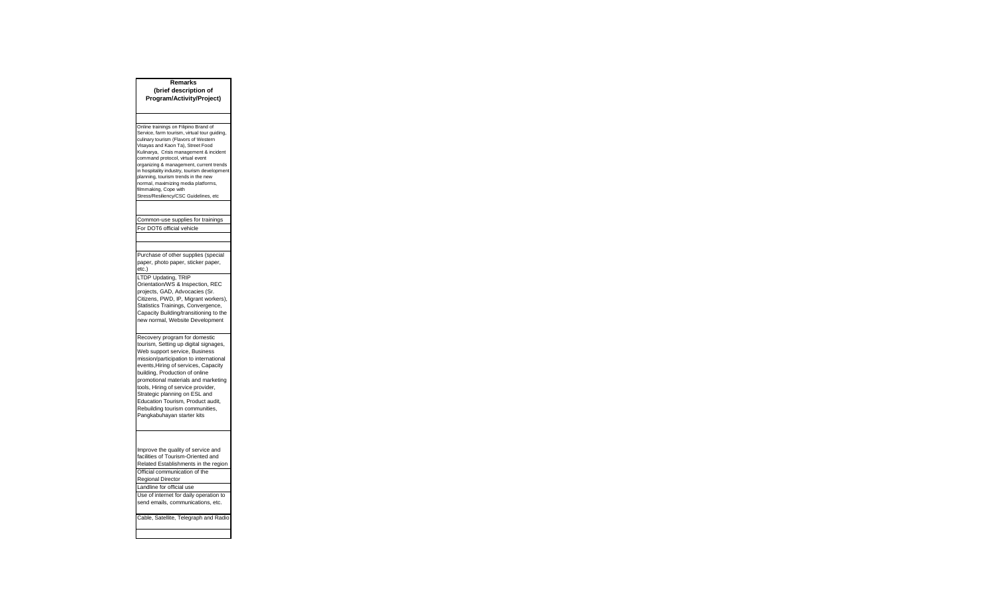#### **Remarks (brief description of Program/Activity/Project)**

Online trainings on Filipino Brand of Service, farm tourism, virtual tour guiding, culinary tourism (Flavors of Western Visayas and Kaon Ta), Street Food Kulinarya, Crisis management & incident command protocol, virtual event organizing & management, current trends in hospitality industry, tourism development planning, tourism trends in the new normal, maximizing media platforms, filmmaking, Cope with Stress/Resiliency/CSC Guidelines, etc

Common-use supplies for trainings For DOT6 official vehicle

### Purchase of other supplies (special paper, photo paper, sticker paper,  $etc.$ ) LTDP Updating, TRIP Orientation/WS & Inspection, REC

projects, GAD, Advocacies (Sr. Citizens, PWD, IP, Migrant workers), Statistics Trainings, Convergence, Capacity Building/transitioning to the new normal, Website Development

Recovery program for domestic tourism, Setting up digital signages,

Web support service, Business mission/participation to international events,Hiring of services, Capacity building, Production of online promotional materials and marketing tools, Hiring of service provider, Strategic planning on ESL and Education Tourism, Product audit, Rebuilding tourism communities, Pangkabuhayan starter kits

Improve the quality of service and facilities of Tourism-Oriented and Related Establishments in the region Official communication of the

Regional Director Landline for official use Use of internet for daily operation to send emails, communications, etc.

Cable, Satellite, Telegraph and Radio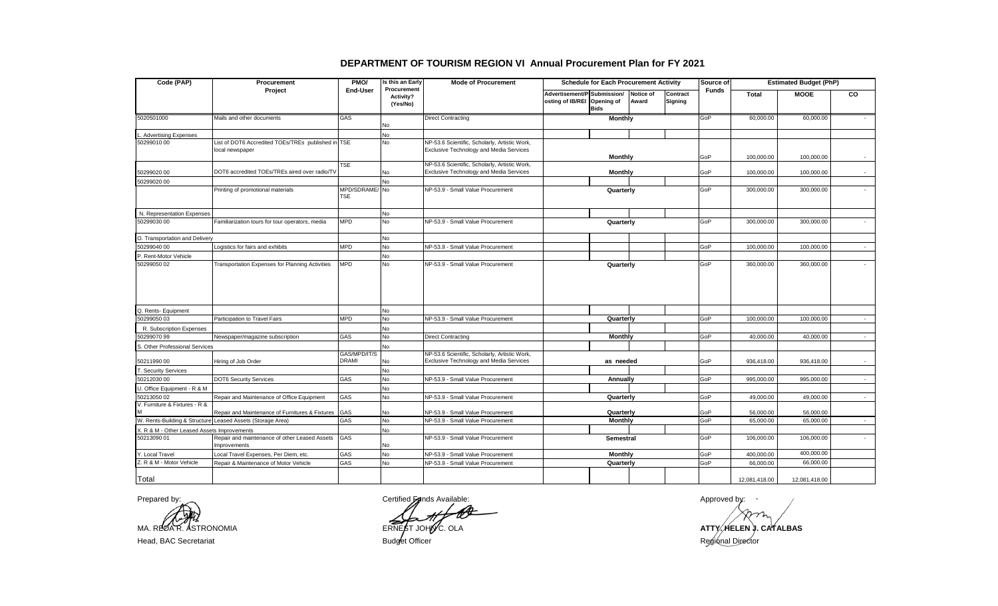| Code (PAP)                                  | Procurement                                                          | PMO/<br><b>End-User</b>      | Is this an Early<br>Procurement<br>Activity?<br>(Yes/No) | <b>Mode of Procurement</b>                                                               | <b>Schedule for Each Procurement Activity</b>                                                   | Source of           | <b>Estimated Budget (PhP)</b> |               |               |           |
|---------------------------------------------|----------------------------------------------------------------------|------------------------------|----------------------------------------------------------|------------------------------------------------------------------------------------------|-------------------------------------------------------------------------------------------------|---------------------|-------------------------------|---------------|---------------|-----------|
|                                             | Project                                                              |                              |                                                          |                                                                                          | Advertisement/P Submission/<br>Notice of<br>osting of IB/REI Opening of<br>Award<br><b>Bids</b> | Contract<br>Signing | <b>Funds</b>                  | Total         | <b>MOOE</b>   | <b>CO</b> |
| 5020501000                                  | Mails and other documents                                            | GAS                          | No.                                                      | <b>Direct Contracting</b>                                                                | <b>Monthly</b>                                                                                  |                     | GoP                           | 60,000.00     | 60,000.00     |           |
| <b>Advertising Expenses</b>                 |                                                                      |                              | <b>No</b>                                                |                                                                                          |                                                                                                 |                     |                               |               |               |           |
| 50299010 00                                 | List of DOT6 Accredited TOEs/TREs published in TSE                   |                              | <b>No</b>                                                | NP-53.6 Scientific, Scholarly, Artistic Work,                                            |                                                                                                 |                     |                               |               |               |           |
|                                             | local newspaper                                                      |                              |                                                          | Exclusive Technology and Media Services                                                  | Monthly                                                                                         |                     | GoP                           | 100.000.00    | 100,000.00    |           |
|                                             |                                                                      | <b>TSE</b>                   |                                                          | NP-53.6 Scientific, Scholarly, Artistic Work,                                            |                                                                                                 |                     |                               |               |               |           |
| 50299020 00                                 | DOT6 accredited TOEs/TREs aired over radio/TV                        |                              | No                                                       | Exclusive Technology and Media Services                                                  | <b>Monthly</b>                                                                                  |                     | GoP                           | 100,000.00    | 100,000.00    |           |
| 50299020 00                                 |                                                                      |                              | No                                                       |                                                                                          |                                                                                                 |                     |                               |               |               |           |
|                                             | Printing of promotional materials                                    | MPD/SDRAME/ No<br><b>TSE</b> |                                                          | NP-53.9 - Small Value Procurement                                                        | Quarterly                                                                                       |                     | GoP                           | 300,000.00    | 300,000.00    |           |
| N. Representation Expenses                  |                                                                      |                              | <b>No</b>                                                |                                                                                          |                                                                                                 |                     |                               |               |               |           |
| 50299030 00                                 | Familiarization tours for tour operators, media                      | <b>MPD</b>                   | <b>No</b>                                                | NP-53.9 - Small Value Procurement                                                        | Quarterly                                                                                       |                     | GoP                           | 300,000.00    | 300,000.00    |           |
| O. Transportation and Delivery              |                                                                      |                              | <b>No</b>                                                |                                                                                          |                                                                                                 |                     |                               |               |               |           |
| 50299040 00                                 | Logistics for fairs and exhibits                                     | <b>MPD</b>                   | No                                                       | NP-53.9 - Small Value Procurement                                                        |                                                                                                 |                     | GoP                           | 100,000.00    | 100,000.00    | $\sim$    |
| P. Rent-Motor Vehicle                       |                                                                      |                              | No                                                       |                                                                                          |                                                                                                 |                     |                               |               |               |           |
| 50299050 02                                 | Transportation Expenses for Planning Activities                      | <b>MPD</b>                   | <b>No</b>                                                | NP-53.9 - Small Value Procurement                                                        | Quarterly                                                                                       |                     | GoP                           | 360,000.00    | 360,000.00    |           |
| Q. Rents- Equipment                         |                                                                      |                              | <b>No</b>                                                |                                                                                          |                                                                                                 |                     |                               |               |               |           |
| 50299050 03                                 | Participation to Travel Fairs                                        | <b>MPD</b>                   | No                                                       | NP-53.9 - Small Value Procurement                                                        | Quarterly                                                                                       |                     | GoP                           | 100,000.00    | 100,000.00    |           |
| R. Subscription Expenses                    |                                                                      |                              | No                                                       |                                                                                          |                                                                                                 |                     |                               |               |               |           |
| 50299070 99                                 | Newspaper/magazine subscription                                      | GAS                          | No                                                       | <b>Direct Contracting</b>                                                                | <b>Monthly</b>                                                                                  |                     | GoP                           | 40,000.00     | 40,000.00     | $\sim$    |
| S. Other Professional Services              |                                                                      |                              | <b>No</b>                                                |                                                                                          |                                                                                                 |                     |                               |               |               |           |
| 50211990 00                                 | Hiring of Job Order                                                  | GAS/MPD/IT/S<br><b>DRAMI</b> | No                                                       | NP-53.6 Scientific, Scholarly, Artistic Work,<br>Exclusive Technology and Media Services | as needed                                                                                       |                     | GoP                           | 936,418.00    | 936,418.00    | $\sim$    |
| <b>. Security Services</b>                  |                                                                      |                              | No                                                       |                                                                                          |                                                                                                 |                     |                               |               |               |           |
| 50212030 00                                 | <b>DOT6 Security Services</b>                                        | GAS                          | No                                                       | NP-53.9 - Small Value Procurement                                                        | Annually                                                                                        |                     | GoP                           | 995,000.00    | 995,000.00    | $\sim$    |
| U. Office Equipment - R & M                 |                                                                      |                              | <b>No</b>                                                |                                                                                          |                                                                                                 |                     |                               |               |               |           |
| 50213050 02                                 | Repair and Maintenance of Office Equipment                           | <b>GAS</b>                   | <b>No</b>                                                | NP-53.9 - Small Value Procurement                                                        | Quarterly                                                                                       |                     | GoP                           | 49,000.00     | 49,000.00     | $\sim$    |
| V. Furniture & Fixtures - R &               | Repair and Maintenance of Furnitures & Fixtures                      | GAS                          | No                                                       | NP-53.9 - Small Value Procurement                                                        | Quarterly                                                                                       |                     | GoP                           | 56,000.00     | 56,000.00     |           |
|                                             | W. Rents-Building & Structure Leased Assets (Storage Area)           | GAS                          | No                                                       | NP-53.9 - Small Value Procurement                                                        | <b>Monthly</b>                                                                                  |                     | GoP                           | 65,000.00     | 65,000.00     | $\sim$    |
| X. R & M - Other Leased Assets Improvements |                                                                      |                              | <b>No</b>                                                |                                                                                          |                                                                                                 |                     |                               |               |               |           |
| 50213090 01                                 | Repair and maintenance of other Leased Assets<br><b>Improvements</b> | GAS                          | No                                                       | NP-53.9 - Small Value Procurement                                                        | Semestral                                                                                       |                     | GoP                           | 106,000.00    | 106,000.00    |           |
| Y. Local Travel                             | Local Travel Expenses, Per Diem, etc.                                | GAS                          | No                                                       | VP-53.9 - Small Value Procurement                                                        | <b>Monthly</b>                                                                                  |                     | GoP                           | 400,000.00    | 400,000.00    |           |
| Z. R & M - Motor Vehicle                    | Repair & Maintenance of Motor Vehicle                                | GAS                          | No                                                       | NP-53.9 - Small Value Procurement                                                        | Quarterly                                                                                       |                     | GoP                           | 66,000.00     | 66,000.00     |           |
| Total                                       |                                                                      |                              |                                                          |                                                                                          |                                                                                                 |                     |                               | 12,081,418.00 | 12,081,418.00 |           |

# **DEPARTMENT OF TOURISM REGION VI Annual Procurement Plan for FY 2021**



Head, BAC Secretariat **Budget Officer** Budget Officer

Regional Director ERNEST JOHN C. OLA **ATTY. HELEN J. CATALBAS**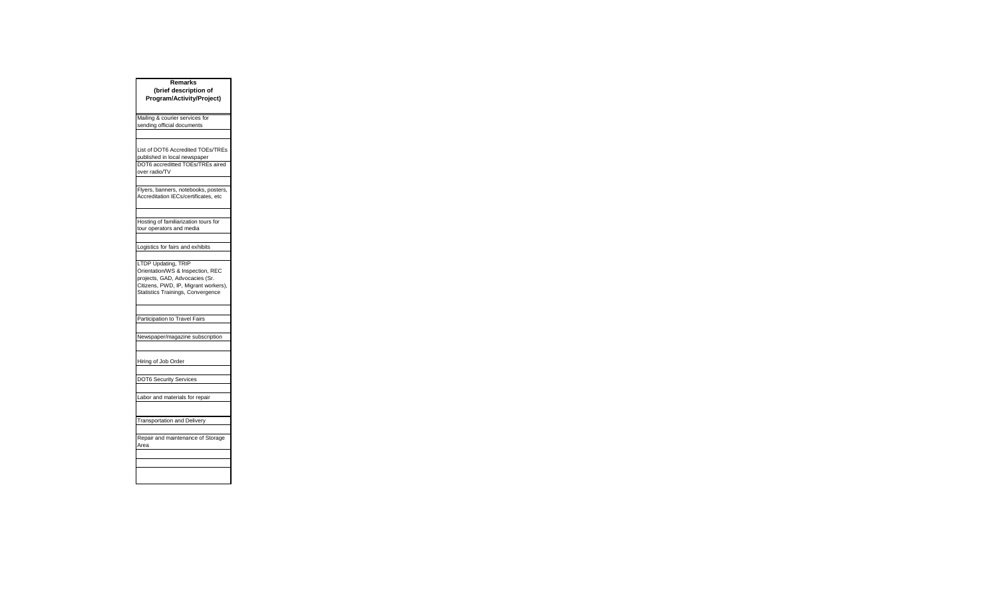#### **Remarks (brief description of Program/Activity/Project)**

Mailing & courier services for sending official documents

List of DOT6 Accredited TOEs/TREs published in local newspaper

DOT6 accreditted TOEs/TREs aired over radio/TV

Flyers, banners, notebooks, posters, Accreditation IECs/certificates, etc

Hosting of familiarization tours for tour operators and media

Logistics for fairs and exhibits

LTDP Updating, TRIP Orientation/WS & Inspection, REC projects, GAD, Advocacies (Sr. Citizens, PWD, IP, Migrant workers), Statistics Trainings, Convergence

Participation to Travel Fairs

Newspaper/magazine subscription

Hiring of Job Order

DOT6 Security Services

Labor and materials for repair

Transportation and Delivery

Repair and maintenance of Storage Area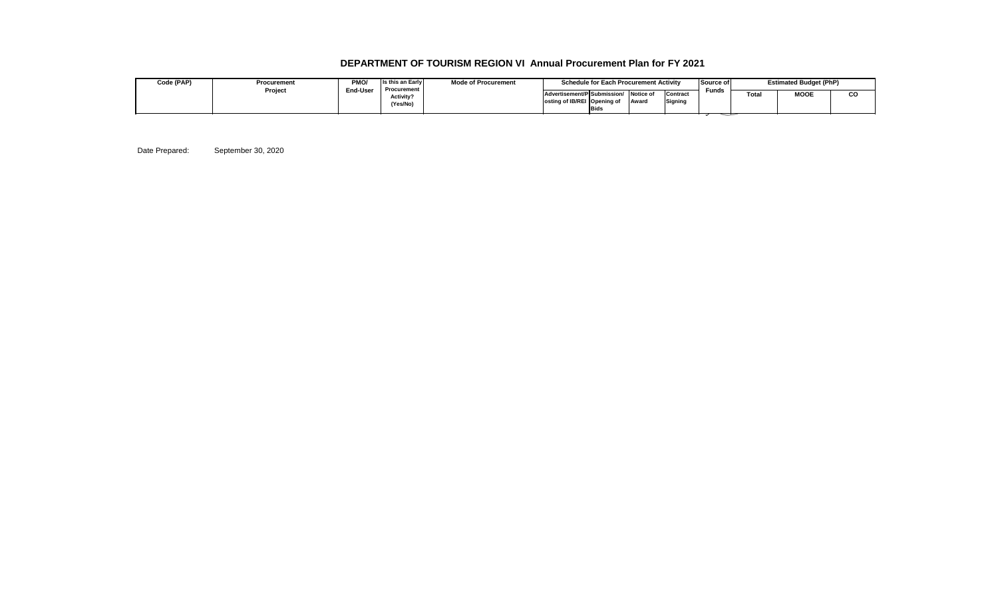# **DEPARTMENT OF TOURISM REGION VI Annual Procurement Plan for FY 2021**

| Code (PAP) | Procurement | PMO/<br><b>End-User</b> | Is this an Early<br><b>Procurement</b><br>Activity?<br>(Yes/No) | <b>Mode of Procurement</b> | <b>Schedule for Each Procurement Activity</b>              |             |                    |                            | Source of    | <b>Estimated Budget (PhP)</b> |             |    |
|------------|-------------|-------------------------|-----------------------------------------------------------------|----------------------------|------------------------------------------------------------|-------------|--------------------|----------------------------|--------------|-------------------------------|-------------|----|
|            | Project     |                         |                                                                 |                            | Advertisement/P Submission/<br>osting of IB/REI Opening of | <b>Bids</b> | Notice of<br>Award | Contract<br><b>Signing</b> | <b>Funds</b> | Tota.                         | <b>MOOE</b> | CO |

Date Prepared: September 30, 2020